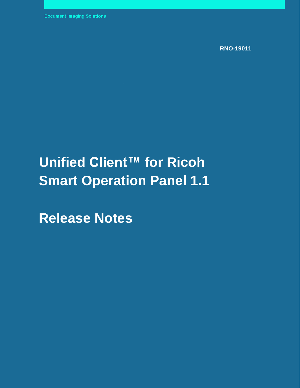**Document Imaging Solutions** 

 **RNO-19011**

# **Unified Client™ for Ricoh Smart Operation Panel 1.1**

**Release Notes**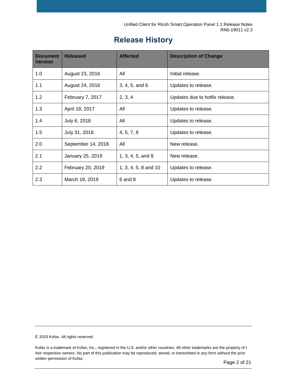# **Release History**

| <b>Document</b><br><b>Version</b> | <b>Released</b>    | <b>Affected</b>      | <b>Description of Change</b>   |
|-----------------------------------|--------------------|----------------------|--------------------------------|
| 1.0                               | August 23, 2016    | All                  | Initial release.               |
| 1.1                               | August 24, 2016    | 3, 4, 5, and 6       | Updates to release.            |
| 1.2                               | February 7, 2017   | 2, 3, 4              | Updates due to hotfix release. |
| 1.3                               | April 18, 2017     | All                  | Updates to release.            |
| 1.4                               | July 6, 2018       | All                  | Updates to release.            |
| 1.5                               | July 31, 2018      | 4, 5, 7, 8           | Updates to release.            |
| 2.0                               | September 14, 2018 | All                  | New release.                   |
| 2.1                               | January 25, 2019   | 1, 3, 4, 5, and 8    | New release.                   |
| 2.2                               | February 20, 2019  | 1, 3, 4, 5, 8 and 10 | Updates to release.            |
| 2.3                               | March 18, 2019     | 6 and 8              | Updates to release.            |

© 2019 Kofax. All rights reserved.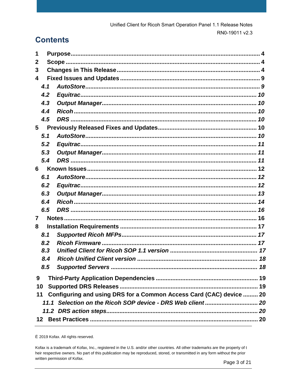# **Contents**

| 1     |                 |                                                                     |  |
|-------|-----------------|---------------------------------------------------------------------|--|
| 2     |                 |                                                                     |  |
| 3     |                 |                                                                     |  |
| 4     |                 |                                                                     |  |
|       | 4.1             |                                                                     |  |
|       | 4.2             |                                                                     |  |
|       | 4.3             |                                                                     |  |
|       | 4.4             |                                                                     |  |
|       | 4.5             |                                                                     |  |
| $5 -$ |                 |                                                                     |  |
|       | 5.1             |                                                                     |  |
|       | 5.2             |                                                                     |  |
|       | 5.3             |                                                                     |  |
|       | 5.4             |                                                                     |  |
| 6     |                 |                                                                     |  |
|       | 6.1             |                                                                     |  |
|       | 6.2             |                                                                     |  |
|       | 6.3             |                                                                     |  |
|       | 6.4             |                                                                     |  |
|       | 6.5             |                                                                     |  |
| 7     |                 |                                                                     |  |
| 8     |                 |                                                                     |  |
|       | 8.1             |                                                                     |  |
|       | 8.2             |                                                                     |  |
|       | 8.3             |                                                                     |  |
|       | 8.4             |                                                                     |  |
|       | 8.5             |                                                                     |  |
| 9     |                 |                                                                     |  |
| 10    |                 |                                                                     |  |
| 11    |                 | Configuring and using DRS for a Common Access Card (CAC) device  20 |  |
|       |                 |                                                                     |  |
|       |                 |                                                                     |  |
|       | 12 <sup>1</sup> |                                                                     |  |
|       |                 |                                                                     |  |

© 2019 Kofax. All rights reserved.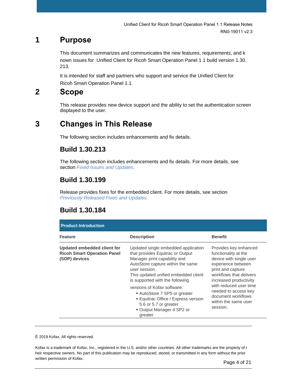# **1 Purpose**

<span id="page-3-0"></span>This document summarizes and communicates the new features, requirements, and k nown issues for Unified Client for Ricoh Smart Operation Panel 1.1 build version 1.30. 213.

It is intended for staff and partners who support and service the Unified Client for Ricoh Smart Operation Panel 1.1.

# <span id="page-3-1"></span>**2 Scope**

This release provides new device support and the ability to set the authentication screen displayed to the user.

# <span id="page-3-2"></span>**3 Changes in This Release**

The following section includes enhancements and fix details.

# **Build 1.30.213**

The following section includes enhancements and fix details. For more details, see section *[Fixed Issues and Updates.](#page-8-0)*

# **Build 1.30.199**

Release provides fixes for the embedded client. For more details, see section *[Previously Released Fixes and Updates.](#page-9-4)*

# **Build 1.30.184**

| <b>Product Introduction</b>                                                        |                                                                                                                                                                                                                                                                                                                                                                                                                 |                                                                                                                                                                                                                                                                                      |  |  |
|------------------------------------------------------------------------------------|-----------------------------------------------------------------------------------------------------------------------------------------------------------------------------------------------------------------------------------------------------------------------------------------------------------------------------------------------------------------------------------------------------------------|--------------------------------------------------------------------------------------------------------------------------------------------------------------------------------------------------------------------------------------------------------------------------------------|--|--|
| <b>Feature</b>                                                                     | <b>Description</b>                                                                                                                                                                                                                                                                                                                                                                                              | <b>Benefit</b>                                                                                                                                                                                                                                                                       |  |  |
| Updated embedded client for<br><b>Ricoh Smart Operation Panel</b><br>(SOP) devices | Updated single embedded application<br>that provides Equitrac or Output<br>Manager print capability and<br>AutoStore capture within the same<br>user session.<br>This updated unified embedded client<br>is supported with the following<br>versions of Kofax software:<br>■ AutoStore 7 SP5 or greater<br>■ Equitrac Office / Express version<br>5.6 or 5.7 or greater<br>• Output Manager 4 SP2 or<br>greater | Provides key enhanced<br>functionality at the<br>device with single user<br>experience between<br>print and capture<br>workflows that delivers<br>increased productivity<br>with reduced user time<br>needed to access key<br>document workflows<br>within the same user<br>session. |  |  |

© 2019 Kofax. All rights reserved.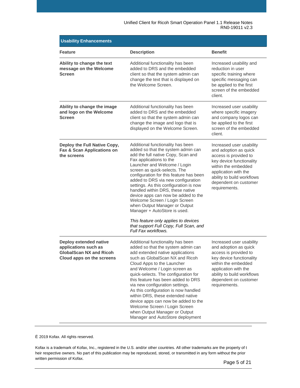| <b>Usability Enhancements</b>                                                                                 |                                                                                                                                                                                                                                                                                                                                                                                                                                                                                                                                                                                                                           |                                                                                                                                                                                                                               |
|---------------------------------------------------------------------------------------------------------------|---------------------------------------------------------------------------------------------------------------------------------------------------------------------------------------------------------------------------------------------------------------------------------------------------------------------------------------------------------------------------------------------------------------------------------------------------------------------------------------------------------------------------------------------------------------------------------------------------------------------------|-------------------------------------------------------------------------------------------------------------------------------------------------------------------------------------------------------------------------------|
| <b>Feature</b>                                                                                                | <b>Description</b>                                                                                                                                                                                                                                                                                                                                                                                                                                                                                                                                                                                                        | <b>Benefit</b>                                                                                                                                                                                                                |
| Ability to change the text<br>message on the Welcome<br><b>Screen</b>                                         | Additional functionality has been<br>added to DRS and the embedded<br>client so that the system admin can<br>change the text that is displayed on<br>the Welcome Screen.                                                                                                                                                                                                                                                                                                                                                                                                                                                  | Increased usability and<br>reduction in user<br>specific training where<br>specific messaging can<br>be applied to the first<br>screen of the embedded<br>client.                                                             |
| Ability to change the image<br>and logo on the Welcome<br><b>Screen</b>                                       | Additional functionality has been<br>added to DRS and the embedded<br>client so that the system admin can<br>change the image and logo that is<br>displayed on the Welcome Screen.                                                                                                                                                                                                                                                                                                                                                                                                                                        | Increased user usability<br>where specific imagery<br>and company logos can<br>be applied to the first<br>screen of the embedded<br>client.                                                                                   |
| Deploy the Full Native Copy,<br>Fax & Scan Applications on<br>the screens                                     | Additional functionality has been<br>added so that the system admin can<br>add the full native Copy, Scan and<br>Fax applications to the<br>Launcher and Welcome / Login<br>screen as quick-selects. The<br>configuration for this feature has been<br>added to DRS via new configuration<br>settings. As this configuration is now<br>handled within DRS, these native<br>device apps can now be added to the<br>Welcome Screen / Login Screen<br>when Output Manager or Output<br>Manager + AutoStore is used.<br>This feature only applies to devices<br>that support Full Copy, Full Scan, and<br>Full Fax workflows. | Increased user usability<br>and adoption as quick<br>access is provided to<br>key device functionality<br>within the embedded<br>application with the<br>ability to build workflows<br>dependent on customer<br>requirements. |
| Deploy extended native<br>applications such as<br><b>GlobalScan NX and Ricoh</b><br>Cloud apps on the screens | Additional functionality has been<br>added so that the system admin can<br>add extended native applications<br>such as GlobalScan NX and Ricoh<br>Cloud Apps to the Launcher<br>and Welcome / Login screen as<br>quick-selects. The configuration for<br>this feature has been added to DRS<br>via new configuration settings.<br>As this configuration is now handled<br>within DRS, these extended native<br>device apps can now be added to the<br>Welcome Screen / Login Screen<br>when Output Manager or Output<br>Manager and AutoStore deployment                                                                  | Increased user usability<br>and adoption as quick<br>access is provided to<br>key device functionality<br>within the embedded<br>application with the<br>ability to build workflows<br>dependent on customer<br>requirements. |

© 2019 Kofax. All rights reserved.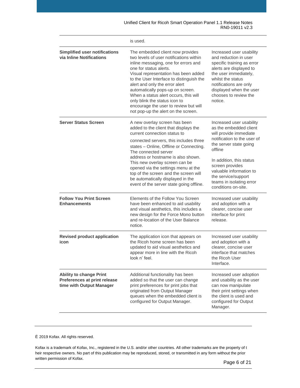|                                                                                            | is used.                                                                                                                                                                                                                                                                                                                                                                                                                                                          |                                                                                                                                                                                                                                                                                                      |
|--------------------------------------------------------------------------------------------|-------------------------------------------------------------------------------------------------------------------------------------------------------------------------------------------------------------------------------------------------------------------------------------------------------------------------------------------------------------------------------------------------------------------------------------------------------------------|------------------------------------------------------------------------------------------------------------------------------------------------------------------------------------------------------------------------------------------------------------------------------------------------------|
| <b>Simplified user notifications</b><br>via Inline Notifications                           | The embedded client now provides<br>two levels of user notifications within<br>inline messaging, one for errors and<br>one for status alerts.<br>Visual representation has been added<br>to the User Interface to distinguish the<br>alert and only the error alert<br>automatically pops-up on screen.<br>When a status alert occurs, this will<br>only blink the status icon to<br>encourage the user to review but will<br>not pop-up the alert on the screen. | Increased user usability<br>and reduction in user<br>specific training as error<br>alerts are displayed to<br>the user immediately,<br>whilst the status<br>notifications are only<br>displayed when the user<br>chooses to review the<br>notice.                                                    |
| <b>Server Status Screen</b>                                                                | A new overlay screen has been<br>added to the client that displays the<br>current connection status to<br>connected servers, this includes three<br>states - Online, Offline or Connecting.<br>The connected server<br>address or hostname is also shown.<br>This new overlay screen can be<br>opened via the settings menu at the<br>top of the screen and the screen will<br>be automatically displayed in the<br>event of the server state going offline.      | Increased user usability<br>as the embedded client<br>will provide immediate<br>notification to the user of<br>the server state going<br>offline<br>In addition, this status<br>screen provides<br>valuable information to<br>the service/support<br>teams in isolating error<br>conditions on-site. |
| <b>Follow You Print Screen</b><br><b>Enhancements</b>                                      | Elements of the Follow You Screen<br>have been enhanced to aid usability<br>and visual aesthetics, this includes a<br>new design for the Force Mono button<br>and re-location of the User Balance<br>notice.                                                                                                                                                                                                                                                      | Increased user usability<br>and adoption with a<br>clearer, concise user<br>interface for print<br>release.                                                                                                                                                                                          |
| <b>Revised product application</b><br>icon                                                 | The application icon that appears on<br>the Ricoh home screen has been<br>updated to aid visual aesthetics and<br>appear more in line with the Ricoh<br>look n' feel.                                                                                                                                                                                                                                                                                             | Increased user usability<br>and adoption with a<br>clearer, concise user<br>interface that matches<br>the Ricoh User<br>Interface.                                                                                                                                                                   |
| <b>Ability to change Print</b><br>Preferences at print release<br>time with Output Manager | Additional functionality has been<br>added so that the user can change<br>print preferences for print jobs that<br>originated from Output Manager<br>queues when the embedded client is<br>configured for Output Manager.                                                                                                                                                                                                                                         | Increased user adoption<br>and usability as the user<br>can now manipulate<br>their print settings when<br>the client is used and<br>configured for Output<br>Manager.                                                                                                                               |

© 2019 Kofax. All rights reserved.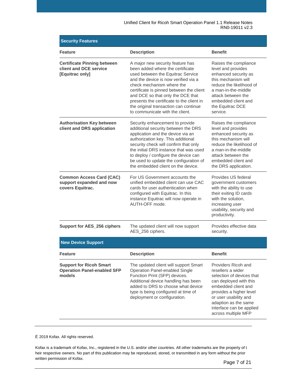| <b>Security Features</b>                                                        |                                                                                                                                                                                                                                                                                                                                                                                          |                                                                                                                                                                                                                                                       |
|---------------------------------------------------------------------------------|------------------------------------------------------------------------------------------------------------------------------------------------------------------------------------------------------------------------------------------------------------------------------------------------------------------------------------------------------------------------------------------|-------------------------------------------------------------------------------------------------------------------------------------------------------------------------------------------------------------------------------------------------------|
| <b>Feature</b>                                                                  | <b>Description</b>                                                                                                                                                                                                                                                                                                                                                                       | <b>Benefit</b>                                                                                                                                                                                                                                        |
| <b>Certificate Pinning between</b><br>client and DCE service<br>[Equitrac only] | A major new security feature has<br>been added where the certificate<br>used between the Equitrac Service<br>and the device is now verified via a<br>check mechanism where the<br>certificate is pinned between the client<br>and DCE so that only the DCE that<br>presents the certificate to the client in<br>the original transaction can continue<br>to communicate with the client. | Raises the compliance<br>level and provides<br>enhanced security as<br>this mechanism will<br>reduce the likelihood of<br>a man-in-the-middle<br>attack between the<br>embedded client and<br>the Equitrac DCE<br>service.                            |
| <b>Authorisation Key between</b><br>client and DRS application                  | Security enhancement to provide<br>additional security between the DRS<br>application and the device via an<br>authorization key. This additional<br>security check will confirm that only<br>the initial DRS instance that was used<br>to deploy / configure the device can<br>be used to update the configuration of<br>the embedded client on the device.                             | Raises the compliance<br>level and provides<br>enhanced security as<br>this mechanism will<br>reduce the likelihood of<br>a man-in-the-middle<br>attack between the<br>embedded client and<br>the DRS application.                                    |
| <b>Common Access Card (CAC)</b><br>support expanded and now<br>covers Equitrac. | For US Government accounts the<br>unified embedded client can use CAC<br>cards for user authentication when<br>configured with Equitrac. In this<br>instance Equitrac will now operate in<br>AUTH-OFF mode.                                                                                                                                                                              | Provides US federal<br>government customers<br>with the ability to use<br>their exiting ID cards<br>with the solution,<br>increasing user<br>usability, security and<br>productivity.                                                                 |
| <b>Support for AES_256 ciphers</b>                                              | The updated client will now support<br>AES_256 ciphers.                                                                                                                                                                                                                                                                                                                                  | Provides effective data<br>security.                                                                                                                                                                                                                  |
| <b>New Device Support</b>                                                       |                                                                                                                                                                                                                                                                                                                                                                                          |                                                                                                                                                                                                                                                       |
| Feature                                                                         | <b>Description</b>                                                                                                                                                                                                                                                                                                                                                                       | <b>Benefit</b>                                                                                                                                                                                                                                        |
| <b>Support for Ricoh Smart</b><br><b>Operation Panel-enabled SFP</b><br>models  | The updated client will support Smart<br><b>Operation Panel-enabled Single</b><br>Function Print (SFP) devices.<br>Additional device handling has been<br>added to DRS to choose what device<br>type is being configured at time of<br>deployment or configuration.                                                                                                                      | Providers Ricoh and<br>resellers a wider<br>selection of devices that<br>can deployed with this<br>embedded client and<br>provides a higher level<br>or user usability and<br>adaption as the same<br>interface can be applied<br>across multiple MFP |

© 2019 Kofax. All rights reserved.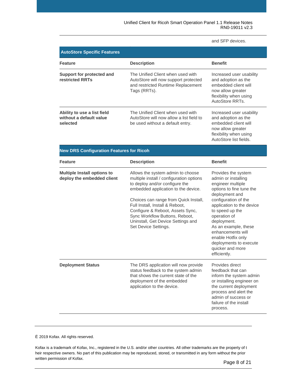and SFP devices.

| <b>AutoStore Specific Features</b>                                 |                                                                                                                                                                                                                                                                                                                                                                        |                                                                                                                                                                                                                                                                                                                                                       |  |  |
|--------------------------------------------------------------------|------------------------------------------------------------------------------------------------------------------------------------------------------------------------------------------------------------------------------------------------------------------------------------------------------------------------------------------------------------------------|-------------------------------------------------------------------------------------------------------------------------------------------------------------------------------------------------------------------------------------------------------------------------------------------------------------------------------------------------------|--|--|
| <b>Feature</b>                                                     | <b>Description</b>                                                                                                                                                                                                                                                                                                                                                     | <b>Benefit</b>                                                                                                                                                                                                                                                                                                                                        |  |  |
| Support for protected and<br>restricted RRTs                       | The Unified Client when used with<br>AutoStore will now support protected<br>and restricted Runtime Replacement<br>Tags (RRTs).                                                                                                                                                                                                                                        | Increased user usability<br>and adoption as the<br>embedded client will<br>now allow greater<br>flexibility when using<br>AutoStore RRTs.                                                                                                                                                                                                             |  |  |
| Ability to use a list field<br>without a default value<br>selected | The Unified Client when used with<br>AutoStore will now allow a list field to<br>be used without a default entry.                                                                                                                                                                                                                                                      | Increased user usability<br>and adoption as the<br>embedded client will<br>now allow greater<br>flexibility when using<br>AutoStore list fields.                                                                                                                                                                                                      |  |  |
| <b>New DRS Configuration Features for Ricoh</b>                    |                                                                                                                                                                                                                                                                                                                                                                        |                                                                                                                                                                                                                                                                                                                                                       |  |  |
| <b>Feature</b>                                                     | <b>Description</b>                                                                                                                                                                                                                                                                                                                                                     | <b>Benefit</b>                                                                                                                                                                                                                                                                                                                                        |  |  |
| <b>Multiple Install options to</b><br>deploy the embedded client   | Allows the system admin to choose<br>multiple install / configuration options<br>to deploy and/or configure the<br>embedded application to the device.<br>Choices can range from Quick Install,<br>Full Install, Install & Reboot,<br>Configure & Reboot, Assets Sync,<br>Sync Workflow Buttons, Reboot,<br>Uninstall, Get Device Settings and<br>Set Device Settings. | Provides the system<br>admin or installing<br>engineer multiple<br>options to fine tune the<br>deployment and<br>configuration of the<br>application to the device<br>to speed up the<br>operation of<br>deployment.<br>As an example, these<br>enhancements will<br>enable Hotfix only<br>deployments to execute<br>quicker and more<br>efficiently. |  |  |
| <b>Deployment Status</b>                                           | The DRS application will now provide<br>status feedback to the system admin<br>that shows the current state of the<br>deployment of the embedded<br>application to the device.                                                                                                                                                                                         | Provides direct<br>feedback that can<br>inform the system admin<br>or installing engineer on<br>the current deployment<br>process and alert the<br>admin of success or<br>failure of the install<br>process.                                                                                                                                          |  |  |

© 2019 Kofax. All rights reserved.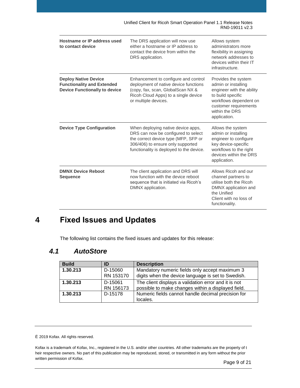| Unified Client for Ricoh Smart Operation Panel 1.1 Release Notes |                |
|------------------------------------------------------------------|----------------|
|                                                                  | RN0-19011 v2.3 |

| Hostname or IP address used<br>to contact device                                                         | The DRS application will now use<br>either a hostname or IP address to<br>contact the device from within the<br>DRS application.                                                                   | Allows system<br>administrators more<br>flexibility in assigning<br>network addresses to<br>devices within their IT<br>infrastructure.                                            |
|----------------------------------------------------------------------------------------------------------|----------------------------------------------------------------------------------------------------------------------------------------------------------------------------------------------------|-----------------------------------------------------------------------------------------------------------------------------------------------------------------------------------|
| <b>Deploy Native Device</b><br><b>Functionality and Extended</b><br><b>Device Functionally to device</b> | Enhancement to configure and control<br>deployment of native device functions<br>(copy, fax, scan, GlobalScan NX &<br>Ricoh Cloud Apps) to a single device<br>or multiple devices.                 | Provides the system<br>admin or installing<br>engineer with the ability<br>to build specific<br>workflows dependent on<br>customer requirements<br>within the DRS<br>application. |
| <b>Device Type Configuration</b>                                                                         | When deploying native device apps,<br>DRS can now be configured to select<br>the correct device type (MFP, SFP or<br>306/406) to ensure only supported<br>functionality is deployed to the device. | Allows the system<br>admin or installing<br>engineer to configure<br>key device-specific<br>workflows to the right<br>devices within the DRS<br>application.                      |
| <b>DMNX Device Reboot</b><br><b>Sequence</b>                                                             | The client application and DRS will<br>now function with the device reboot<br>sequence that is initiated via Ricoh's<br>DMNX application.                                                          | Allows Ricoh and our<br>channel partners to<br>utilise both the Ricoh<br>DMNX application and<br>the Unified<br>Client with no loss of<br>functionality.                          |

# <span id="page-8-0"></span>**4 Fixed Issues and Updates**

The following list contains the fixed issues and updates for this release:

#### <span id="page-8-1"></span>*4.1 AutoStore*

| <b>Build</b> | ID                   | <b>Description</b>                                                                                         |
|--------------|----------------------|------------------------------------------------------------------------------------------------------------|
| 1.30.213     | D-15060<br>RN 153170 | Mandatory numeric fields only accept maximum 3<br>digits when the device language is set to Swedish.       |
| 1.30.213     | D-15061<br>RN 156173 | The client displays a validation error and it is not<br>possible to make changes within a displayed field. |
| 1.30.213     | D-15178              | Numeric fields cannot handle decimal precision for<br>locales.                                             |

© 2019 Kofax. All rights reserved.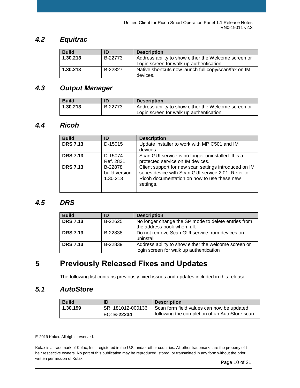# <span id="page-9-0"></span>*4.2 Equitrac*

| <b>Build</b> | ID      | <b>Description</b>                                                                               |
|--------------|---------|--------------------------------------------------------------------------------------------------|
| 1.30.213     | B-22773 | Address ability to show either the Welcome screen or<br>Login screen for walk up authentication. |
| 1.30.213     | B-22827 | Native shortcuts now launch full copy/scan/fax on IM<br>devices.                                 |

### <span id="page-9-1"></span>*4.3 Output Manager*

| <b>Build</b> | ID      | <b>Description</b>                                   |  |
|--------------|---------|------------------------------------------------------|--|
| 1.30.213     | B-22773 | Address ability to show either the Welcome screen or |  |
|              |         | Login screen for walk up authentication.             |  |

#### <span id="page-9-2"></span>*4.4 Ricoh*

| <b>Build</b>    | ID                                   | <b>Description</b>                                                                                                                                                      |
|-----------------|--------------------------------------|-------------------------------------------------------------------------------------------------------------------------------------------------------------------------|
| <b>DRS 7.13</b> | D-15015                              | Update installer to work with MP C501 and IM<br>devices.                                                                                                                |
| <b>DRS 7.13</b> | D-15074<br>Ref. 2831                 | Scan GUI service is no longer uninstalled. It is a<br>protected service on IM devices.                                                                                  |
| <b>DRS 7.13</b> | B-22878<br>build version<br>1.30.213 | Client support for new scan settings introduced on IM<br>series device with Scan GUI service 2.01. Refer to<br>Ricoh documentation on how to use these new<br>settings. |

#### <span id="page-9-3"></span>*4.5 DRS*

| <b>Build</b>    | ID      | <b>Description</b>                                                                              |
|-----------------|---------|-------------------------------------------------------------------------------------------------|
| <b>DRS 7.13</b> | B-22625 | No longer change the SP mode to delete entries from<br>the address book when full.              |
| <b>DRS 7.13</b> | B-22838 | Do not remove Scan GUI service from devices on<br>uninstall                                     |
| <b>DRS 7.13</b> | B-22839 | Address ability to show either the welcome screen or<br>login screen for walk up authentication |

# <span id="page-9-4"></span>**5 Previously Released Fixes and Updates**

The following list contains previously fixed issues and updates included in this release:

#### <span id="page-9-5"></span>*5.1 AutoStore*

| <b>Build</b> | ID                                      | <b>Description</b>                                                                          |
|--------------|-----------------------------------------|---------------------------------------------------------------------------------------------|
| 1.30.199     | SR: 181012-000136<br>EQ: <b>B-22234</b> | Scan form field values can now be updated<br>following the completion of an AutoStore scan. |

© 2019 Kofax. All rights reserved.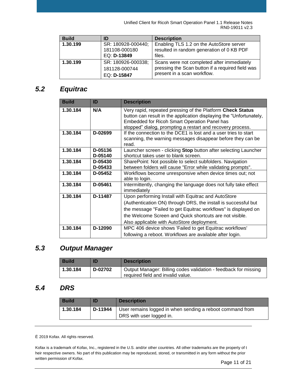| <b>Build</b> | ID                                                 | <b>Description</b>                                                                                                            |
|--------------|----------------------------------------------------|-------------------------------------------------------------------------------------------------------------------------------|
| 1.30.199     | SR: 180928-000440;<br>181108-000180<br>EQ: D-13849 | Enabling TLS 1.2 on the AutoStore server<br>resulted in random generation of 0 KB PDF<br>files.                               |
| 1.30.199     | SR: 180926-000338;<br>181128-000744<br>EQ: D-15847 | Scans were not completed after immediately<br>pressing the Scan button if a required field was<br>present in a scan workflow. |

# <span id="page-10-0"></span>*5.2 Equitrac*

| <b>Build</b> | ID                 | <b>Description</b>                                                                                                                                                                                                                                                                               |
|--------------|--------------------|--------------------------------------------------------------------------------------------------------------------------------------------------------------------------------------------------------------------------------------------------------------------------------------------------|
| 1.30.184     | N/A                | Very rapid, repeated pressing of the Platform Check Status<br>button can result in the application displaying the "Unfortunately,<br>Embedded for Ricoh Smart Operation Panel has<br>stopped" dialog, prompting a restart and recovery process.                                                  |
| 1.30.184     | D-02699            | If the connection to the DCE1 is lost and a user tries to start<br>scanning, the warning messages disappear before they can be<br>read.                                                                                                                                                          |
| 1.30.184     | D-05136<br>D-05140 | Launcher screen - clicking Stop button after selecting Launcher<br>shortcut takes user to blank screen.                                                                                                                                                                                          |
| 1.30.184     | D-05430<br>D-05433 | SharePoint: Not possible to select subfolders. Navigation<br>between folders will cause "Error while validating prompts".                                                                                                                                                                        |
| 1.30.184     | D-05452            | Workflows become unresponsive when device times out; not<br>able to login.                                                                                                                                                                                                                       |
| 1.30.184     | D-05461            | Intermittently, changing the language does not fully take effect<br>immediately                                                                                                                                                                                                                  |
| 1.30.184     | D-11487            | Upon performing Install with Equitrac and AutoStore<br>(Authentication ON) through DRS, the install is successful but<br>the message "Failed to get Equitrac workflows" is displayed on<br>the Welcome Screen and Quick shortcuts are not visible.<br>Also applicable with AutoStore deployment. |
| 1.30.184     | D-12090            | MPC 406 device shows 'Failed to get Equitrac workflows'<br>following a reboot. Workflows are available after login.                                                                                                                                                                              |

# <span id="page-10-1"></span>*5.3 Output Manager*

| <b>Build</b> | ID      | <b>Description</b>                                                                                   |
|--------------|---------|------------------------------------------------------------------------------------------------------|
| 1.30.184     | D-02702 | Output Manager: Billing codes validation - feedback for missing<br>required field and invalid value. |

#### <span id="page-10-2"></span>*5.4 DRS*

| <b>Build</b> | ID      | <b>Description</b>                                                                    |
|--------------|---------|---------------------------------------------------------------------------------------|
| 1.30.184     | D-11944 | User remains logged in when sending a reboot command from<br>DRS with user logged in. |

© 2019 Kofax. All rights reserved.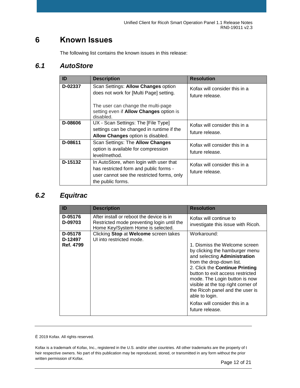# <span id="page-11-0"></span>**6 Known Issues**

The following list contains the known issues in this release:

# <span id="page-11-1"></span>*6.1 AutoStore*

| ID      | <b>Description</b>                                                                                                                                   | <b>Resolution</b>                                |
|---------|------------------------------------------------------------------------------------------------------------------------------------------------------|--------------------------------------------------|
| D-02337 | Scan Settings: Allow Changes option<br>does not work for [Multi Page] setting.                                                                       | Kofax will consider this in a<br>future release. |
|         | The user can change the multi-page<br>setting even if Allow Changes option is<br>disabled.                                                           |                                                  |
| D-08606 | UX - Scan Settings: The [File Type]<br>settings can be changed in runtime if the<br>Allow Changes option is disabled.                                | Kofax will consider this in a<br>future release. |
| D-08611 | Scan Settings: The Allow Changes<br>option is available for compression<br>level/method.                                                             | Kofax will consider this in a<br>future release. |
| D-15132 | In AutoStore, when login with user that<br>has restricted form and public forms -<br>user cannot see the restricted forms, only<br>the public forms. | Kofax will consider this in a<br>future release. |

# <span id="page-11-2"></span>*6.2 Equitrac*

| ID                              | <b>Description</b>                                                                                                          | <b>Resolution</b>                                                                                                                                                                                                                                                                                                                                                                                |
|---------------------------------|-----------------------------------------------------------------------------------------------------------------------------|--------------------------------------------------------------------------------------------------------------------------------------------------------------------------------------------------------------------------------------------------------------------------------------------------------------------------------------------------------------------------------------------------|
| D-05176<br>D-09703              | After install or reboot the device is in<br>Restricted mode preventing login until the<br>Home Key/System Home is selected. | Kofax will continue to<br>investigate this issue with Ricoh.                                                                                                                                                                                                                                                                                                                                     |
| D-05178<br>D-12497<br>Ref. 4799 | Clicking Stop at Welcome screen takes<br>UI into restricted mode.                                                           | Workaround:<br>1. Dismiss the Welcome screen<br>by clicking the hamburger menu<br>and selecting Administration<br>from the drop-down list.<br>2. Click the Continue Printing<br>button to exit access restricted<br>mode. The Login button is now<br>visible at the top right corner of<br>the Ricoh panel and the user is<br>able to login.<br>Kofax will consider this in a<br>future release. |

#### © 2019 Kofax. All rights reserved.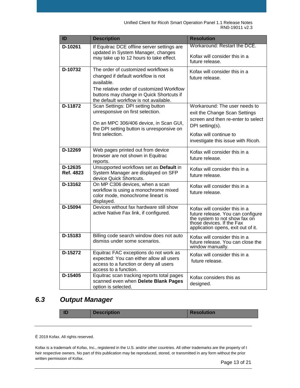| ID                          | <b>Description</b>                                                                                                                                                                                                          | <b>Resolution</b>                                                                                                                                                                       |
|-----------------------------|-----------------------------------------------------------------------------------------------------------------------------------------------------------------------------------------------------------------------------|-----------------------------------------------------------------------------------------------------------------------------------------------------------------------------------------|
| D-10261                     | If Equitrac DCE offline server settings are<br>updated in System Manager, changes<br>may take up to 12 hours to take effect.                                                                                                | Workaround: Restart the DCE.<br>Kofax will consider this in a<br>future release.                                                                                                        |
| D-10732                     | The order of customized workflows is<br>changed if default workflow is not<br>available.<br>The relative order of customized Workflow<br>buttons may change in Quick Shortcuts if<br>the default workflow is not available. | Kofax will consider this in a<br>future release.                                                                                                                                        |
| D-11872                     | Scan Settings: DPI setting button<br>unresponsive on first selection.<br>On an MPC 306/406 device, in Scan GUI,<br>the DPI setting button is unresponsive on<br>first selection.                                            | Workaround: The user needs to<br>exit the Change Scan Settings<br>screen and then re-enter to select<br>DPI setting(s).<br>Kofax will continue to<br>investigate this issue with Ricoh. |
| D-12269                     | Web pages printed out from device<br>browser are not shown in Equitrac<br>reports.                                                                                                                                          | Kofax will consider this in a<br>future release.                                                                                                                                        |
| D-12635<br><b>Ref. 4823</b> | Unsupported workflows set as Default in<br>System Manager are displayed on SFP<br>device Quick Shortcuts.                                                                                                                   | Kofax will consider this in a<br>future release.                                                                                                                                        |
| D-13162                     | On MP C306 devices, when a scan<br>workflow is using a monochrome mixed<br>color mode, monochrome lineart is<br>displayed.                                                                                                  | Kofax will consider this in a<br>future release.                                                                                                                                        |
| D-15094                     | Devices without fax hardware still show<br>active Native Fax link, if configured.                                                                                                                                           | Kofax will consider this in a<br>future release. You can configure<br>the system to not show fax on<br>those devices. If the Fax<br>application opens, exit out of it.                  |
| D-15183                     | Billing code search window does not auto<br>dismiss under some scenarios.                                                                                                                                                   | Kofax will consider this in a<br>future release. You can close the<br>window manually.                                                                                                  |
| D-15272                     | Equitrac FAC exceptions do not work as<br>expected: You can either allow all users<br>access to a function or deny all users<br>access to a function.                                                                       | Kofax will consider this in a<br>future release.                                                                                                                                        |
| D-15405                     | Equitrac scan tracking reports total pages<br>scanned even when Delete Blank Pages<br>option is selected.                                                                                                                   | Kofax considers this as<br>designed.                                                                                                                                                    |

# <span id="page-12-0"></span>*6.3 Output Manager*

| ID | <b>Description</b> | <b>Resolution</b> |
|----|--------------------|-------------------|
|----|--------------------|-------------------|

© 2019 Kofax. All rights reserved.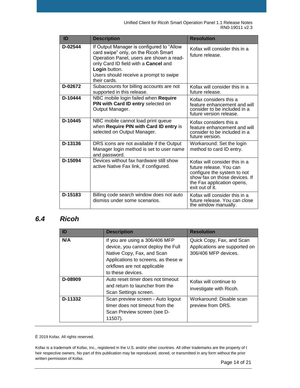| ID      | <b>Description</b>                                                                                                                                                                                                                               | <b>Resolution</b>                                                                                                                                                         |
|---------|--------------------------------------------------------------------------------------------------------------------------------------------------------------------------------------------------------------------------------------------------|---------------------------------------------------------------------------------------------------------------------------------------------------------------------------|
| D-02544 | If Output Manager is configured to "Allow<br>card swipe" only, on the Ricoh Smart<br>Operation Panel, users are shown a read-<br>only Card ID field with a Cancel and<br>Login button.<br>Users should receive a prompt to swipe<br>their cards. | Kofax will consider this in a<br>future release.                                                                                                                          |
| D-02672 | Subaccounts for billing accounts are not<br>supported in this release.                                                                                                                                                                           | Kofax will consider this in a<br>future release.                                                                                                                          |
| D-10444 | NBC mobile login failed when Require<br>PIN with Card ID entry selected on<br>Output Manager.                                                                                                                                                    | Kofax considers this a<br>feature enhancement and will<br>consider to be included in a<br>future version release.                                                         |
| D-10445 | NBC mobile cannot load print queue<br>when Require PIN with Card ID entry is<br>selected on Output Manager.                                                                                                                                      | Kofax considers this a<br>feature enhancement and will<br>consider to be included in a<br>future version.                                                                 |
| D-13136 | DRS icons are not available if the Output<br>Manager login method is set to user name<br>and password.                                                                                                                                           | Workaround: Set the login<br>method to card ID entry.                                                                                                                     |
| D-15094 | Devices without fax hardware still show<br>active Native Fax link, if configured.                                                                                                                                                                | Kofax will consider this in a<br>future release. You can<br>configure the system to not<br>show fax on those devices. If<br>the Fax application opens,<br>exit out of it. |
| D-15183 | Billing code search window does not auto<br>dismiss under some scenarios.                                                                                                                                                                        | Kofax will consider this in a<br>future release. You can close<br>the window manually.                                                                                    |

# <span id="page-13-0"></span>*6.4 Ricoh*

| ID      | <b>Description</b>                                                                                                                                                                            | <b>Resolution</b>                                                                  |
|---------|-----------------------------------------------------------------------------------------------------------------------------------------------------------------------------------------------|------------------------------------------------------------------------------------|
| N/A     | If you are using a 306/406 MFP<br>device, you cannot deploy the Full<br>Native Copy, Fax, and Scan<br>Applications to screens, as these w<br>orkflows are not applicable<br>to these devices. | Quick Copy, Fax, and Scan<br>Applications are supported on<br>306/406 MFP devices. |
| D-08909 | Auto reset timer does not timeout<br>and return to launcher from the<br>Scan Settings screen.                                                                                                 | Kofax will continue to<br>investigate with Ricoh.                                  |
| D-11332 | Scan preview screen - Auto logout<br>timer does not timeout from the<br>Scan Preview screen (see D-<br>11507).                                                                                | Workaround: Disable scan<br>preview from DRS.                                      |

© 2019 Kofax. All rights reserved.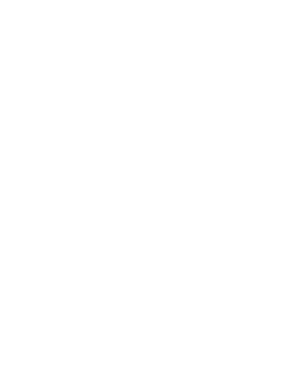Unified Ôlient for Üicoh Smart Uperation Úanel 1.1 Üelease Notes ÜN0Ë19011 v2.H

# &RQWHQWV

| 1            |     |                                                                   |    |  |  |
|--------------|-----|-------------------------------------------------------------------|----|--|--|
| $\mathbf{2}$ |     |                                                                   |    |  |  |
| 3            |     |                                                                   |    |  |  |
| 4            |     |                                                                   |    |  |  |
|              | 4.1 |                                                                   |    |  |  |
|              | 4.2 |                                                                   |    |  |  |
|              | 4.3 |                                                                   |    |  |  |
|              | 4.4 |                                                                   |    |  |  |
|              | 4.5 |                                                                   |    |  |  |
| 5            |     |                                                                   |    |  |  |
|              | 5.1 |                                                                   |    |  |  |
|              | 5.2 |                                                                   |    |  |  |
|              | 5.3 |                                                                   |    |  |  |
|              | 5.4 |                                                                   |    |  |  |
|              |     |                                                                   |    |  |  |
|              | 6.1 |                                                                   |    |  |  |
|              | 6.2 |                                                                   |    |  |  |
|              | 6.3 |                                                                   |    |  |  |
|              | 6.4 |                                                                   |    |  |  |
|              | 6.5 |                                                                   |    |  |  |
| 7            |     |                                                                   |    |  |  |
| 8            |     |                                                                   |    |  |  |
|              | 8.1 |                                                                   |    |  |  |
|              | 8.2 |                                                                   |    |  |  |
|              | 8.3 |                                                                   |    |  |  |
|              | 8.4 |                                                                   |    |  |  |
|              | 8.5 |                                                                   |    |  |  |
| 9            |     |                                                                   | 19 |  |  |
|              | 10  |                                                                   | 19 |  |  |
| 11           |     | Configuring and using DRS for aCommon Access Card (AC) device  20 |    |  |  |
|              |     |                                                                   |    |  |  |
|              |     |                                                                   |    |  |  |
|              |     |                                                                   |    |  |  |
|              |     |                                                                   |    |  |  |

#### *IRID[@OULKWVUHVHUYHG*

.RID[LVDWUDGHPDUNRI.RID[,QUHILVWHUHGLWKH86DQRURWKHUFRXWULHVOORWKHUWUDGHPDUNVDUHWKHSURSHUWRIW KHLUUHVSHFWLYHREUV1RSDUWRIWKLVSXEOLFDWLREDEHUHSURGXFHGVWRUHGRUWUDQPLWWHGLQDRUPZWKRXWWKHSULRU **ØLWWHQHUPLVVLRQI.RID[**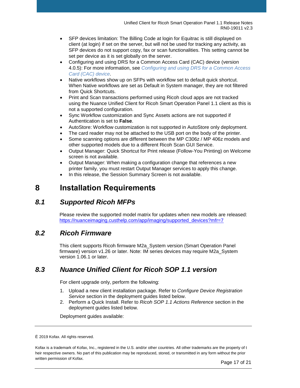- SFP devices limitation: The Billing Code at login for Equitrac is still displayed on client (at login) if set on the server, but will not be used for tracking any activity, as SFP devices do not support copy, fax or scan functionalities. This setting cannot be set per device as it is set globally on the server.
- Configuring and using DRS for a Common Access Card (CAC) device (version 4.0.5): For more information, see *[Configuring and using DRS for a Common Access](#page-19-0)  [Card \(CAC\) device](#page-19-0)*.
- Native workflows show up on SFPs with workflow set to default quick shortcut. When Native workflows are set as Default in System manager, they are not filtered from Quick Shortcuts.
- Print and Scan transactions performed using Ricoh cloud apps are not tracked using the Nuance Unified Client for Ricoh Smart Operation Panel 1.1 client as this is not a supported configuration.
- Sync Workflow customization and Sync Assets actions are not supported if Authentication is set to **False**.
- AutoStore: Workflow customization is not supported in AutoStore only deployment.
- The card reader may not be attached to the USB port on the body of the printer.
- Some scanning options are different between the MP C306z / MP 406z models and other supported models due to a different Ricoh Scan GUI Service.
- Output Manager: Quick Shortcut for Print release (Follow-You Printing) on Welcome screen is not available.
- Output Manager: When making a configuration change that references a new printer family, you must restart Output Manager services to apply this change.
- In this release, the Session Summary Screen is not available.

# <span id="page-16-0"></span>**8 Installation Requirements**

#### <span id="page-16-1"></span>*8.1 Supported Ricoh MFPs*

Please review the supported model matrix for updates when new models are released: [https://nuanceimaging.custhelp.com/app/imaging/supported\\_devices?mfr=7](https://nuanceimaging.custhelp.com/app/imaging/supported_devices?mfr=7)

#### <span id="page-16-2"></span>*8.2 Ricoh Firmware*

This client supports Ricoh firmware M2a\_System version (Smart Operation Panel firmware) version v1.26 or later. Note: IM series devices may require M2a\_System version 1.06.1 or later.

# <span id="page-16-3"></span>*8.3 Nuance Unified Client for Ricoh SOP 1.1 version*

For client upgrade only, perform the following:

- 1. Upload a new client installation package. Refer to *Configure Device Registration Service* section in the deployment guides listed below.
- 2. Perform a Quick Install. Refer to *Ricoh SOP 1.1 Actions Reference* section in the deployment guides listed below.

Deployment guides available:

<sup>© 2019</sup> Kofax. All rights reserved.

Kofax is a trademark of Kofax, Inc., registered in the U.S. and/or other countries. All other trademarks are the property of t heir respective owners. No part of this publication may be reproduced, stored, or transmitted in any form without the prior written permission of Kofax.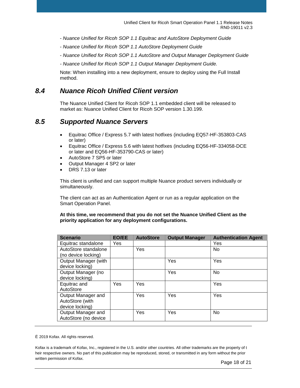- *Nuance Unified for Ricoh SOP 1.1 Equitrac and AutoStore Deployment Guide*
- *Nuance Unified for Ricoh SOP 1.1 AutoStore Deployment Guide*
- *Nuance Unified for Ricoh SOP 1.1 AutoStore and Output Manager Deployment Guide*
- *- Nuance Unified for Ricoh SOP 1.1 Output Manager Deployment Guide.*

Note: When installing into a new deployment, ensure to deploy using the Full Install method.

#### <span id="page-17-0"></span>*8.4 Nuance Ricoh Unified Client version*

The Nuance Unified Client for Ricoh SOP 1.1 embedded client will be released to market as: Nuance Unified Client for Ricoh SOP version 1.30.199

#### <span id="page-17-1"></span>*8.5 Supported Nuance Servers*

- Equitrac Office / Express 5.7 with latest hotfixes (including EQ57-HF-353803-CAS or later)
- Equitrac Office / Express 5.6 with latest hotfixes (including EQ56-HF-334058-DCE or later and EQ56-HF-353790-CAS or later)
- AutoStore 7 SP5 or later
- Output Manager 4 SP2 or later
- DRS 7.13 or later

This client is unified and can support multiple Nuance product servers individually or simultaneously.

The client can act as an Authentication Agent or run as a regular application on the Smart Operation Panel.

#### **At this time, we recommend that you do not set the Nuance Unified Client as the priority application for any deployment configurations.**

| <b>Scenario</b>                                          | <b>EO/EE</b> | <b>AutoStore</b> | <b>Output Manager</b> | <b>Authentication Agent</b> |
|----------------------------------------------------------|--------------|------------------|-----------------------|-----------------------------|
| Equitrac standalone                                      | <b>Yes</b>   |                  |                       | Yes                         |
| AutoStore standalone<br>(no device locking)              |              | Yes              |                       | <b>No</b>                   |
| Output Manager (with<br>device locking)                  |              |                  | Yes                   | Yes                         |
| Output Manager (no<br>device locking)                    |              |                  | Yes                   | <b>No</b>                   |
| Equitrac and<br>AutoStore                                | Yes          | Yes              |                       | Yes                         |
| Output Manager and<br>AutoStore (with<br>device locking) |              | Yes              | Yes                   | Yes                         |
| Output Manager and<br>AutoStore (no device               |              | Yes              | Yes                   | <b>No</b>                   |

© 2019 Kofax. All rights reserved.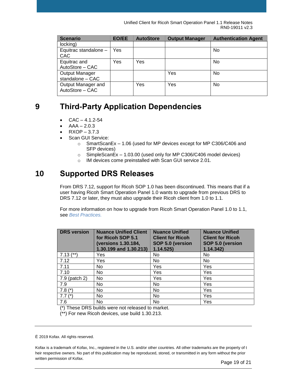| <b>Scenario</b>                       | EO/EE | <b>AutoStore</b> | <b>Output Manager</b> | <b>Authentication Agent</b> |
|---------------------------------------|-------|------------------|-----------------------|-----------------------------|
| locking)                              |       |                  |                       |                             |
| Equitrac standalone -<br><b>CAC</b>   | Yes   |                  |                       | <b>No</b>                   |
| Equitrac and<br>AutoStore - CAC       | Yes   | Yes              |                       | No                          |
| Output Manager<br>standalone - CAC    |       |                  | Yes                   | No                          |
| Output Manager and<br>AutoStore - CAC |       | Yes              | Yes                   | <b>No</b>                   |

# <span id="page-18-0"></span>**9 Third-Party Application Dependencies**

- $CAC 4.1.2 54$
- $AAA 2.0.3$
- $RXOP 3.7.3$
- Scan GUI Service:
	- o SmartScanEx 1.06 (used for MP devices except for MP C306/C406 and SFP devices)
	- $\circ$  SimpleScanEx 1.03.00 (used only for MP C306/C406 model devices)
	- o IM devices come preinstalled with Scan GUI service 2.01.

# <span id="page-18-1"></span>**10 Supported DRS Releases**

From DRS 7.12, support for Ricoh SOP 1.0 has been discontinued. This means that if a user having Ricoh Smart Operation Panel 1.0 wants to upgrade from previous DRS to DRS 7.12 or later, they must also upgrade their Ricoh client from 1.0 to 1.1.

For more information on how to upgrade from Ricoh Smart Operation Panel 1.0 to 1.1, see *[Best Practices.](#page-19-3)*

| <b>DRS</b> version | <b>Nuance Unified Client</b><br>for Ricoh SOP 5.1<br>(versions 1.30.184,<br>1.30.199 and 1.30.213) | <b>Nuance Unified</b><br><b>Client for Ricoh</b><br>SOP 5.0 (version<br>1.14.525) | <b>Nuance Unified</b><br><b>Client for Ricoh</b><br>SOP 5.0 (version<br>1.14.342 |
|--------------------|----------------------------------------------------------------------------------------------------|-----------------------------------------------------------------------------------|----------------------------------------------------------------------------------|
| $7.13$ (**)        | Yes                                                                                                | No.                                                                               | No                                                                               |
| 7.12               | Yes                                                                                                | No                                                                                | <b>No</b>                                                                        |
| 7.11               | No.                                                                                                | Yes                                                                               | Yes                                                                              |
| 7.10               | No.                                                                                                | Yes                                                                               | Yes                                                                              |
| 7.9 (patch 2)      | No.                                                                                                | Yes                                                                               | Yes                                                                              |
| 7.9                | No.                                                                                                | No                                                                                | Yes                                                                              |
| $7.8$ (*)          | No.                                                                                                | No                                                                                | Yes                                                                              |
| $7.7(*)$           | No.                                                                                                | No.                                                                               | <b>Yes</b>                                                                       |
| 7.6                | No                                                                                                 | No                                                                                | Yes                                                                              |

(\*) These DRS builds were not released to market.

(\*\*) For new Ricoh devices, use build 1.30.213.

© 2019 Kofax. All rights reserved.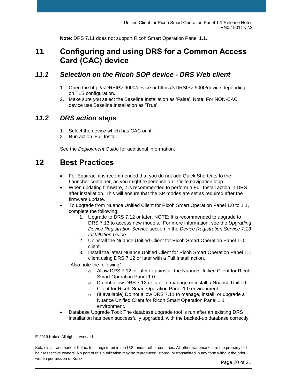**Note**: DRS 7.11 does not support Ricoh Smart Operation Panel 1.1.

# <span id="page-19-0"></span>**11 Configuring and using DRS for a Common Access Card (CAC) device**

#### <span id="page-19-1"></span>*11.1 Selection on the Ricoh SOP device - DRS Web client*

- 1. Open the http://<DRSIP>:9000/device or https://<DRSIP>:9000/device depending on TLS configuration.
- 2. Make sure you select the Baseline Installation as 'False'. Note: For NON-CAC device use Baseline Installation as 'True'.

#### <span id="page-19-2"></span>*11.2 DRS action steps*

- 1. Select the device which has CAC on it.
- 2. Run action 'Full Install'.

See the *Deployment Guide* for additional information.

# <span id="page-19-3"></span>**12 Best Practices**

- For Equitrac, it is recommended that you do not add Quick Shortcuts to the Launcher container, as you might experience an infinite navigation loop.
- When updating firmware, it is recommended to perform a Full Install action in DRS after installation. This will ensure that the SP modes are set as required after the firmware update.
- To upgrade from Nuance Unified Client for Ricoh Smart Operation Panel 1.0 to 1.1, complete the following:
	- 1. Upgrade to DRS 7.12 or later. NOTE: It is recommended to upgrade to DRS 7.13 to access new models. For more information, see the *Upgrading Device Registration Service* section in the *Device Registration Service 7.13 Installation Guide*.
	- 2. Uninstall the Nuance Unified Client for Ricoh Smart Operation Panel 1.0 client.
	- 3. Install the latest Nuance Unified Client for Ricoh Smart Operation Panel 1.1 client using DRS 7.12 or later with a Full Install action.

Also note the following:

- $\circ$  Allow DRS 7.12 or later to uninstall the Nuance Unified Client for Ricoh Smart Operation Panel 1.0.
- o Do not allow DRS 7.12 or later to manage or install a Nuance Unified Client for Ricoh Smart Operation Panel 1.0 environment.
- o (If available) Do not allow DRS 7.11 to manage, install, or upgrade a Nuance Unified Client for Ricoh Smart Operation Panel 1.1 environment.
- Database Upgrade Tool: The database upgrade tool is run after an existing DRS installation has been successfully upgraded, with the backed-up database correctly

© 2019 Kofax. All rights reserved.